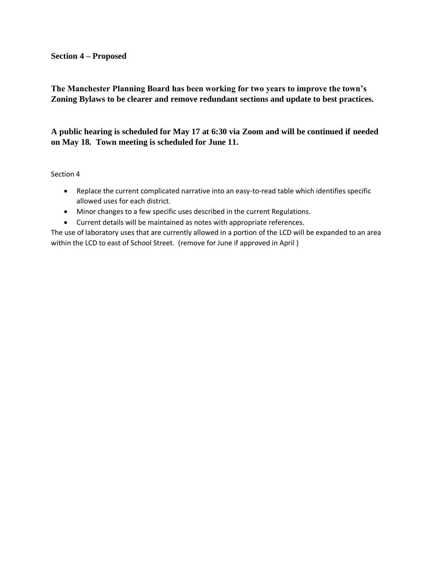#### **Section 4 – Proposed**

# **The Manchester Planning Board has been working for two years to improve the town's Zoning Bylaws to be clearer and remove redundant sections and update to best practices.**

# **A public hearing is scheduled for May 17 at 6:30 via Zoom and will be continued if needed on May 18. Town meeting is scheduled for June 11.**

#### Section 4

- Replace the current complicated narrative into an easy-to-read table which identifies specific allowed uses for each district.
- Minor changes to a few specific uses described in the current Regulations.
- Current details will be maintained as notes with appropriate references.

The use of laboratory uses that are currently allowed in a portion of the LCD will be expanded to an area within the LCD to east of School Street. (remove for June if approved in April )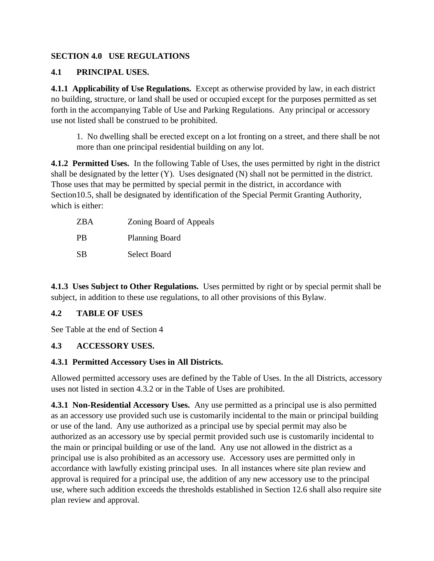# **SECTION 4.0 USE REGULATIONS**

# **4.1 PRINCIPAL USES.**

**4.1.1 Applicability of Use Regulations.** Except as otherwise provided by law, in each district no building, structure, or land shall be used or occupied except for the purposes permitted as set forth in the accompanying Table of Use and Parking Regulations. Any principal or accessory use not listed shall be construed to be prohibited.

1. No dwelling shall be erected except on a lot fronting on a street, and there shall be not more than one principal residential building on any lot.

**4.1.2 Permitted Uses.** In the following Table of Uses, the uses permitted by right in the district shall be designated by the letter (Y). Uses designated (N) shall not be permitted in the district. Those uses that may be permitted by special permit in the district, in accordance with Section10.5, shall be designated by identification of the Special Permit Granting Authority, which is either:

| ZBA       | Zoning Board of Appeals |
|-----------|-------------------------|
| <b>PB</b> | <b>Planning Board</b>   |
| SВ        | Select Board            |

**4.1.3 Uses Subject to Other Regulations.** Uses permitted by right or by special permit shall be subject, in addition to these use regulations, to all other provisions of this Bylaw.

# **4.2 TABLE OF USES**

See Table at the end of Section 4

# **4.3 ACCESSORY USES.**

## **4.3.1 Permitted Accessory Uses in All Districts.**

Allowed permitted accessory uses are defined by the Table of Uses. In the all Districts, accessory uses not listed in section 4.3.2 or in the Table of Uses are prohibited.

**4.3.1 Non-Residential Accessory Uses.** Any use permitted as a principal use is also permitted as an accessory use provided such use is customarily incidental to the main or principal building or use of the land. Any use authorized as a principal use by special permit may also be authorized as an accessory use by special permit provided such use is customarily incidental to the main or principal building or use of the land. Any use not allowed in the district as a principal use is also prohibited as an accessory use. Accessory uses are permitted only in accordance with lawfully existing principal uses. In all instances where site plan review and approval is required for a principal use, the addition of any new accessory use to the principal use, where such addition exceeds the thresholds established in Section 12.6 shall also require site plan review and approval.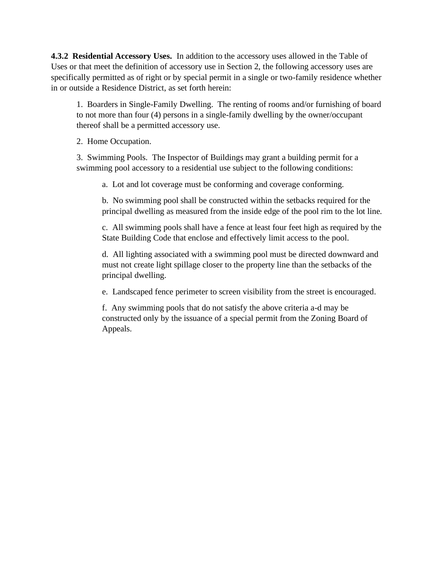**4.3.2 Residential Accessory Uses.** In addition to the accessory uses allowed in the Table of Uses or that meet the definition of accessory use in Section 2, the following accessory uses are specifically permitted as of right or by special permit in a single or two-family residence whether in or outside a Residence District, as set forth herein:

1. Boarders in Single-Family Dwelling. The renting of rooms and/or furnishing of board to not more than four (4) persons in a single-family dwelling by the owner/occupant thereof shall be a permitted accessory use.

2. Home Occupation.

3. Swimming Pools. The Inspector of Buildings may grant a building permit for a swimming pool accessory to a residential use subject to the following conditions:

a. Lot and lot coverage must be conforming and coverage conforming.

b. No swimming pool shall be constructed within the setbacks required for the principal dwelling as measured from the inside edge of the pool rim to the lot line.

c. All swimming pools shall have a fence at least four feet high as required by the State Building Code that enclose and effectively limit access to the pool.

d. All lighting associated with a swimming pool must be directed downward and must not create light spillage closer to the property line than the setbacks of the principal dwelling.

e. Landscaped fence perimeter to screen visibility from the street is encouraged.

f. Any swimming pools that do not satisfy the above criteria a-d may be constructed only by the issuance of a special permit from the Zoning Board of Appeals.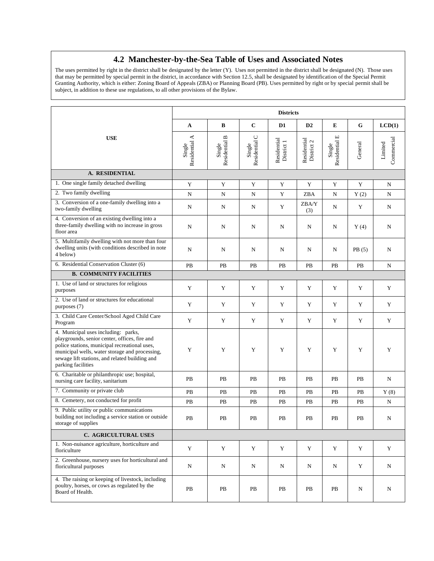### **4.2 Manchester-by-the-Sea Table of Uses and Associated Notes**

The uses permitted by right in the district shall be designated by the letter (Y). Uses not permitted in the district shall be designated (N). Those uses that may be permitted by special permit in the district, in accordance with Section 12.5, shall be designated by identification of the Special Permit Granting Authority, which is either: Zoning Board of Appeals (ZBA) or Planning Board (PB). Uses permitted by right or by special permit shall be subject, in addition to these use regulations, to all other provisions of the Bylaw.

| <b>Districts</b>                                                                                                                                                                                                                                                |                         |                         |                         |                           |                           |                         |             |                       |
|-----------------------------------------------------------------------------------------------------------------------------------------------------------------------------------------------------------------------------------------------------------------|-------------------------|-------------------------|-------------------------|---------------------------|---------------------------|-------------------------|-------------|-----------------------|
|                                                                                                                                                                                                                                                                 | $\mathbf A$             | B                       | $\mathbf C$             | D <sub>1</sub>            | D2                        | E                       | $\mathbf G$ | LCD(1)                |
| <b>USE</b>                                                                                                                                                                                                                                                      | Residential A<br>Single | Residential B<br>Single | Residential C<br>Single | Residential<br>District 1 | Residential<br>District 2 | Residential E<br>Single | General     | Commercial<br>Limited |
| A. RESIDENTIAL                                                                                                                                                                                                                                                  |                         |                         |                         |                           |                           |                         |             |                       |
| 1. One single family detached dwelling                                                                                                                                                                                                                          | Y                       | $\mathbf Y$             | Y                       | $\mathbf Y$               | $\mathbf Y$               | $\mathbf Y$             | Y           | N                     |
| 2. Two family dwelling                                                                                                                                                                                                                                          | N                       | N                       | N                       | Y                         | ZBA                       | N                       | Y(2)        | N                     |
| 3. Conversion of a one-family dwelling into a<br>two-family dwelling                                                                                                                                                                                            | N                       | N                       | N                       | Y                         | ZBA/Y<br>(3)              | N                       | Y           | N                     |
| 4. Conversion of an existing dwelling into a<br>three-family dwelling with no increase in gross<br>floor area                                                                                                                                                   | N                       | N                       | N                       | $\mathbf N$               | $\mathbf N$               | ${\bf N}$               | Y(4)        | N                     |
| 5. Multifamily dwelling with not more than four<br>dwelling units (with conditions described in note<br>4 below)                                                                                                                                                | N                       | N                       | N                       | N                         | N                         | N                       | PB(5)       | N                     |
| 6. Residential Conservation Cluster (6)                                                                                                                                                                                                                         | PB                      | PB                      | PB                      | PB                        | PB                        | PB                      | PB          | N                     |
| <b>B. COMMUNITY FACILITIES</b>                                                                                                                                                                                                                                  |                         |                         |                         |                           |                           |                         |             |                       |
| 1. Use of land or structures for religious<br>purposes                                                                                                                                                                                                          | $\mathbf Y$             | Y                       | $\mathbf Y$             | $\mathbf Y$               | Y                         | $\mathbf Y$             | $\mathbf Y$ | $\mathbf Y$           |
| 2. Use of land or structures for educational<br>purposes (7)                                                                                                                                                                                                    | Y                       | Y                       | Y                       | Y                         | Y                         | Y                       | Y           | Y                     |
| 3. Child Care Center/School Aged Child Care<br>Program                                                                                                                                                                                                          | $\mathbf Y$             | $\mathbf Y$             | Y                       | Y                         | Y                         | $\mathbf Y$             | $\mathbf Y$ | $\mathbf Y$           |
| 4. Municipal uses including: parks,<br>playgrounds, senior center, offices, fire and<br>police stations, municipal recreational uses,<br>municipal wells, water storage and processing,<br>sewage lift stations, and related building and<br>parking facilities | Y                       | Y                       | Y                       | Y                         | Y                         | Y                       | Y           | $\mathbf Y$           |
| 6. Charitable or philanthropic use; hospital,<br>nursing care facility, sanitarium                                                                                                                                                                              | PB                      | PB                      | PB                      | PB                        | PB                        | PB                      | PB          | N                     |
| 7. Community or private club                                                                                                                                                                                                                                    | PB                      | PB                      | PB                      | PB                        | PB                        | PB                      | PB          | Y(8)                  |
| 8. Cemetery, not conducted for profit                                                                                                                                                                                                                           | PB                      | PB                      | PB                      | PB                        | PB                        | PB                      | PB          | N                     |
| 9. Public utility or public communications<br>building not including a service station or outside<br>storage of supplies                                                                                                                                        | PB                      | PB                      | PB                      | PB                        | PB                        | PB                      | PB          | N                     |
| C. AGRICULTURAL USES                                                                                                                                                                                                                                            |                         |                         |                         |                           |                           |                         |             |                       |
| 1. Non-nuisance agriculture, horticulture and<br>floriculture                                                                                                                                                                                                   | Y                       | Y                       | Y                       | Y                         | Y                         | Y                       | Y           | Y                     |
| 2. Greenhouse, nursery uses for horticultural and<br>floricultural purposes                                                                                                                                                                                     | ${\rm N}$               | N                       | N                       | N                         | N                         | N                       | Y           | ${\bf N}$             |
| 4. The raising or keeping of livestock, including<br>poultry, horses, or cows as regulated by the<br>Board of Health.                                                                                                                                           | PB                      | PB                      | PB                      | PB                        | PB                        | PB                      | N           | N                     |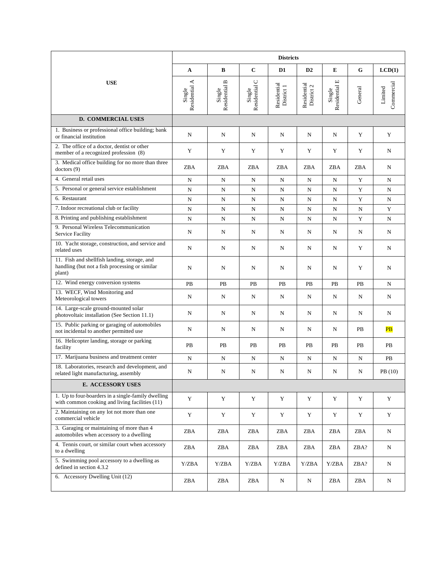|                                                                                                          | <b>Districts</b>        |                         |                         |                           |                           |                                                                     |             |                          |
|----------------------------------------------------------------------------------------------------------|-------------------------|-------------------------|-------------------------|---------------------------|---------------------------|---------------------------------------------------------------------|-------------|--------------------------|
|                                                                                                          | A                       | B                       | $\mathbf C$             | D1                        | D2                        | E                                                                   | $\mathbf G$ | LCD(1)                   |
| <b>USE</b>                                                                                               | Residential A<br>Single | Residential B<br>Single | Residential C<br>Single | Residential<br>District 1 | Residential<br>District 2 | $\begin{array}{c} \mbox{Single}\\ \mbox{Residential E} \end{array}$ | General     | Commercial<br>Limited    |
| <b>D. COMMERCIAL USES</b>                                                                                |                         |                         |                         |                           |                           |                                                                     |             |                          |
| 1. Business or professional office building; bank<br>or financial institution                            | N                       | N                       | N                       | N                         | N                         | N                                                                   | Y           | Y                        |
| 2. The office of a doctor, dentist or other<br>member of a recognized profession (8)                     | Y                       | Y                       | Y                       | Y                         | Y                         | Y                                                                   | Y           | N                        |
| 3. Medical office building for no more than three<br>dotors(9)                                           | ZBA                     | ZBA                     | ZBA                     | ZBA                       | ZBA                       | ZBA                                                                 | ZBA         | N                        |
| 4. General retail uses                                                                                   | N                       | N                       | $\mathbf N$             | ${\bf N}$                 | N                         | N                                                                   | Y           | N                        |
| 5. Personal or general service establishment                                                             | ${\bf N}$               | N                       | ${\bf N}$               | N                         | N                         | N                                                                   | $\mathbf Y$ | N                        |
| 6. Restaurant                                                                                            | N                       | N                       | N                       | N                         | N                         | N                                                                   | Y           | N                        |
| 7. Indoor recreational club or facility                                                                  | N                       | N                       | N                       | N                         | N                         | N                                                                   | N           | $\mathbf Y$              |
| 8. Printing and publishing establishment                                                                 | N                       | N                       | N                       | N                         | N                         | $\mathbf N$                                                         | Y           | N                        |
| 9. Personal Wireless Telecommunication<br><b>Service Facility</b>                                        | N                       | N                       | N                       | N                         | N                         | N                                                                   | N           | N                        |
| 10. Yacht storage, construction, and service and<br>related uses                                         | N                       | N                       | N                       | N                         | N                         | N                                                                   | Y           | N                        |
| 11. Fish and shellfish landing, storage, and<br>handling (but not a fish processing or similar<br>plant) | N                       | N                       | N                       | N                         | N                         | N                                                                   | Y           | N                        |
| 12. Wind energy conversion systems                                                                       | PB                      | PB                      | PB                      | PB                        | PB                        | PB                                                                  | PB          | N                        |
| 13. WECF, Wind Monitoring and<br>Meteorological towers                                                   | N                       | N                       | N                       | N                         | N                         | N                                                                   | N           | N                        |
| 14. Large-scale ground-mounted solar<br>photovoltaic installation (See Section 11.1)                     | N                       | N                       | N                       | N                         | N                         | N                                                                   | N           | N                        |
| 15. Public parking or garaging of automobiles<br>not incidental to another permitted use                 | N                       | N                       | N                       | N                         | N                         | N                                                                   | PB          | $\overline{\mathbf{PB}}$ |
| 16. Helicopter landing, storage or parking<br>facility                                                   | PB                      | PB                      | PB                      | PB                        | PB                        | PB                                                                  | PB          | PB                       |
| 17. Marijuana business and treatment center                                                              | N                       | N                       | ${\bf N}$               | ${\bf N}$                 | N                         | N                                                                   | N           | PB                       |
| 18. Laboratories, research and development, and<br>related light manufacturing, assembly                 | N                       | N                       | N                       | N                         | N                         | N                                                                   | N           | PB (10)                  |
| <b>E. ACCESSORY USES</b>                                                                                 |                         |                         |                         |                           |                           |                                                                     |             |                          |
| 1. Up to four boarders in a single-family dwelling<br>with common cooking and living facilities (11)     | Y                       | Y                       | Y                       | Y                         | Y                         | Y                                                                   | Y           | Y                        |
| 2. Maintaining on any lot not more than one<br>commercial vehicle                                        | Y                       | $\mathbf Y$             | $\mathbf Y$             | Y                         | Y                         | Y                                                                   | Y           | Y                        |
| 3. Garaging or maintaining of more than 4<br>automobiles when accessory to a dwelling                    | ZBA                     | ZBA                     | ZBA                     | ZBA                       | ZBA                       | ZBA                                                                 | ZBA         | N                        |
| 4. Tennis court, or similar court when accessory<br>to a dwelling                                        | ZBA                     | ZBA                     | ZBA                     | ZBA                       | ZBA                       | ZBA                                                                 | ZBA?        | N                        |
| 5. Swimming pool accessory to a dwelling as<br>defined in section 4.3.2                                  | Y/ZBA                   | Y/ZBA                   | Y/ZBA                   | Y/ZBA                     | Y/ZBA                     | Y/ZBA                                                               | ZBA?        | N                        |
| 6. Accessory Dwelling Unit (12)                                                                          | ZBA                     | ZBA                     | ZBA                     | N                         | N                         | ZBA                                                                 | ZBA         | N                        |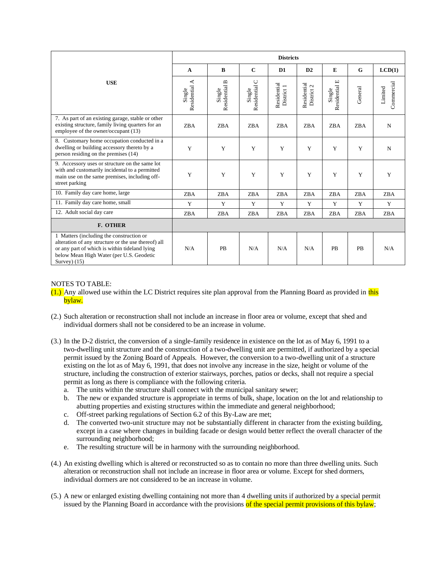|                                                                                                                                                                                                               | <b>Districts</b>           |                         |                                 |                           |                           |                                                     |            |                       |
|---------------------------------------------------------------------------------------------------------------------------------------------------------------------------------------------------------------|----------------------------|-------------------------|---------------------------------|---------------------------|---------------------------|-----------------------------------------------------|------------|-----------------------|
|                                                                                                                                                                                                               | A                          | $\bf{B}$                | $\mathbf{C}$                    | D <sub>1</sub>            | D2                        | ${\bf E}$                                           | G          | LCD(1)                |
| <b>USE</b>                                                                                                                                                                                                    | ⋖<br>Residential<br>Single | Residential B<br>Single | $\cup$<br>Residential<br>Single | Residential<br>District 1 | Residential<br>District 2 | $\boxed{\mathbf{L}}$<br>Residential<br>$\rm Single$ | General    | Commercial<br>Limited |
| 7. As part of an existing garage, stable or other<br>existing structure, family living quarters for an<br>employee of the owner/occupant (13)                                                                 | ZBA                        | <b>ZBA</b>              | <b>ZBA</b>                      | <b>ZBA</b>                | <b>ZBA</b>                | ZBA                                                 | <b>ZBA</b> | N                     |
| 8. Customary home occupation conducted in a<br>dwelling or building accessory thereto by a<br>person residing on the premises (14)                                                                            | Y                          | Y                       | Y                               | Y                         | Y                         | Y                                                   | Y          | N                     |
| 9. Accessory uses or structure on the same lot<br>with and customarily incidental to a permitted<br>main use on the same premises, including off-<br>street parking                                           | Y                          | Y                       | Y                               | Y                         | Y                         | Y                                                   | Y          | Y                     |
| 10. Family day care home, large                                                                                                                                                                               | <b>ZBA</b>                 | <b>ZBA</b>              | ZBA                             | <b>ZBA</b>                | ZBA                       | <b>ZBA</b>                                          | <b>ZBA</b> | <b>ZBA</b>            |
| 11. Family day care home, small                                                                                                                                                                               | Y                          | Y                       | Y                               | Y                         | Y                         | Y                                                   | Y          | Y                     |
| 12. Adult social day care                                                                                                                                                                                     | ZBA                        | <b>ZBA</b>              | ZBA                             | ZBA                       | ZBA                       | <b>ZBA</b>                                          | <b>ZBA</b> | ZBA                   |
| F. OTHER                                                                                                                                                                                                      |                            |                         |                                 |                           |                           |                                                     |            |                       |
| 1 Matters (including the construction or<br>alteration of any structure or the use thereof) all<br>or any part of which is within tideland lying<br>below Mean High Water (per U.S. Geodetic<br>Survey $(15)$ | N/A                        | PB                      | N/A                             | N/A                       | N/A                       | PB                                                  | PB         | N/A                   |

#### NOTES TO TABLE:

 $(1.)$  Any allowed use within the LC District requires site plan approval from the Planning Board as provided in this bylaw.

- (2.) Such alteration or reconstruction shall not include an increase in floor area or volume, except that shed and individual dormers shall not be considered to be an increase in volume.
- (3.) In the D-2 district, the conversion of a single-family residence in existence on the lot as of May 6, 1991 to a two-dwelling unit structure and the construction of a two-dwelling unit are permitted, if authorized by a special permit issued by the Zoning Board of Appeals. However, the conversion to a two-dwelling unit of a structure existing on the lot as of May 6, 1991, that does not involve any increase in the size, height or volume of the structure, including the construction of exterior stairways, porches, patios or decks, shall not require a special permit as long as there is compliance with the following criteria.
	- a. The units within the structure shall connect with the municipal sanitary sewer;
	- b. The new or expanded structure is appropriate in terms of bulk, shape, location on the lot and relationship to abutting properties and existing structures within the immediate and general neighborhood;
	- c. Off-street parking regulations of Section 6.2 of this By-Law are met;
	- d. The converted two-unit structure may not be substantially different in character from the existing building, except in a case where changes in building facade or design would better reflect the overall character of the surrounding neighborhood;
	- e. The resulting structure will be in harmony with the surrounding neighborhood.
- (4.) An existing dwelling which is altered or reconstructed so as to contain no more than three dwelling units. Such alteration or reconstruction shall not include an increase in floor area or volume. Except for shed dormers, individual dormers are not considered to be an increase in volume.
- (5.) A new or enlarged existing dwelling containing not more than 4 dwelling units if authorized by a special permit issued by the Planning Board in accordance with the provisions of the special permit provisions of this bylaw;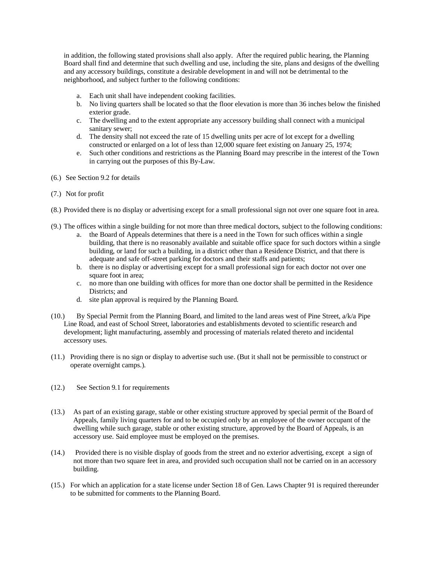in addition, the following stated provisions shall also apply. After the required public hearing, the Planning Board shall find and determine that such dwelling and use, including the site, plans and designs of the dwelling and any accessory buildings, constitute a desirable development in and will not be detrimental to the neighborhood, and subject further to the following conditions:

- a. Each unit shall have independent cooking facilities.
- b. No living quarters shall be located so that the floor elevation is more than 36 inches below the finished exterior grade.
- c. The dwelling and to the extent appropriate any accessory building shall connect with a municipal sanitary sewer;
- d. The density shall not exceed the rate of 15 dwelling units per acre of lot except for a dwelling constructed or enlarged on a lot of less than 12,000 square feet existing on January 25, 1974;
- e. Such other conditions and restrictions as the Planning Board may prescribe in the interest of the Town in carrying out the purposes of this By-Law.
- (6.) See Section 9.2 for details
- (7.) Not for profit
- (8.) Provided there is no display or advertising except for a small professional sign not over one square foot in area.
- (9.) The offices within a single building for not more than three medical doctors, subject to the following conditions:
	- a. the Board of Appeals determines that there is a need in the Town for such offices within a single building, that there is no reasonably available and suitable office space for such doctors within a single building, or land for such a building, in a district other than a Residence District, and that there is adequate and safe off-street parking for doctors and their staffs and patients;
	- b. there is no display or advertising except for a small professional sign for each doctor not over one square foot in area;
	- c. no more than one building with offices for more than one doctor shall be permitted in the Residence Districts; and
	- d. site plan approval is required by the Planning Board.
- (10.) By Special Permit from the Planning Board, and limited to the land areas west of Pine Street, a/k/a Pipe Line Road, and east of School Street, laboratories and establishments devoted to scientific research and development; light manufacturing, assembly and processing of materials related thereto and incidental accessory uses.
- (11.) Providing there is no sign or display to advertise such use. (But it shall not be permissible to construct or operate overnight camps.).
- (12.) See Section 9.1 for requirements
- (13.) As part of an existing garage, stable or other existing structure approved by special permit of the Board of Appeals, family living quarters for and to be occupied only by an employee of the owner occupant of the dwelling while such garage, stable or other existing structure, approved by the Board of Appeals, is an accessory use. Said employee must be employed on the premises.
- (14.) Provided there is no visible display of goods from the street and no exterior advertising, except a sign of not more than two square feet in area, and provided such occupation shall not be carried on in an accessory building.
- (15.) For which an application for a state license under Section 18 of Gen. Laws Chapter 91 is required thereunder to be submitted for comments to the Planning Board.